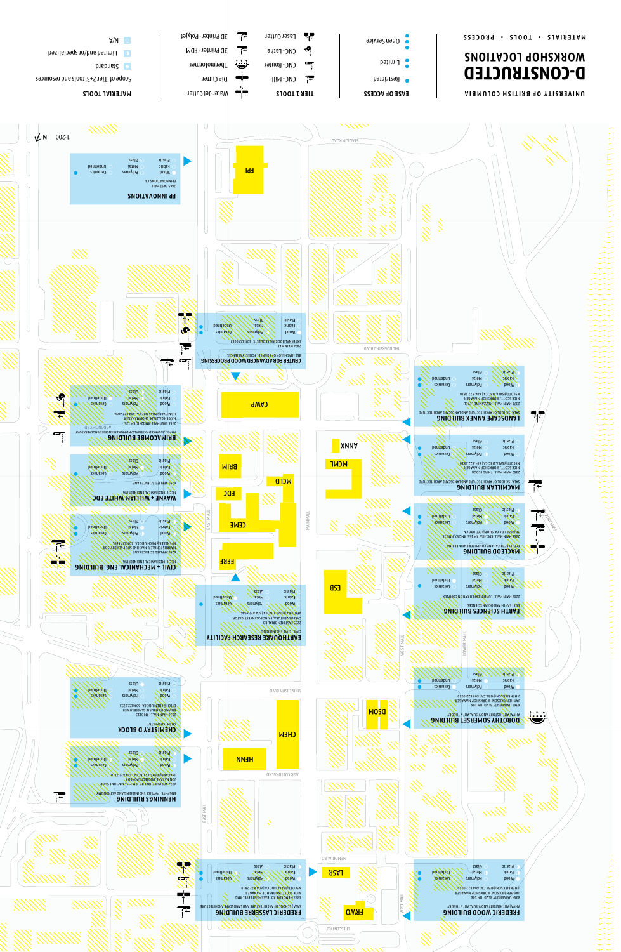

3D Printer - Polyjet

3D Printer - FDM

A  $\sim$ 

 $\bullet$ 

Limited and/or specialized

▔⋶

下

Laser Cutter

CNC-Lathe

<u>ی کات</u>

٩Ģ

· Open Service

MATERIALS . TOOLS . PROCESS